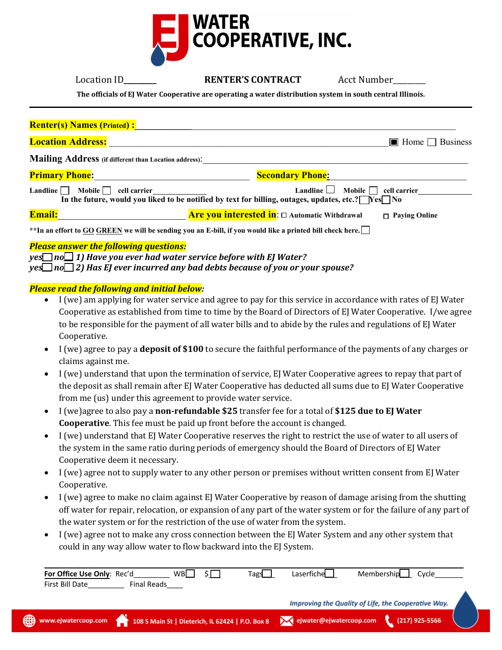

| Location ID |  |
|-------------|--|
|             |  |

**RENTER'S CONTRACT** Acct Number

**The officials of EJ Water Cooperative are operating a water distribution system in south central Illinois.**

| <b>Renter(s) Names (Printed):</b>                            |                                                                                                                                                                               |
|--------------------------------------------------------------|-------------------------------------------------------------------------------------------------------------------------------------------------------------------------------|
| <b>Location Address:</b>                                     | $\blacksquare$ Home $\blacksquare$ Business                                                                                                                                   |
| <b>Mailing Address</b> (if different than Location address): |                                                                                                                                                                               |
| <b>Primary Phone:</b>                                        | <b>Secondary Phone:</b>                                                                                                                                                       |
| Landline $\Box$<br>Mobile    <br>cell carrier                | <b>Landline</b><br>Mobile  <br>cell carrier<br>In the future, would you liked to be notified by text for billing, outages, updates, etc.? $\sqrt{\text{Yes} \cdot \text{No}}$ |
| <b>Email:</b>                                                | <b>Are you interested in:</b> $\Box$ Automatic Withdrawal<br>$\Box$ Paying Online                                                                                             |
|                                                              | ** In an effort to GO GREEN we will be sending you an E-bill, if you would like a printed bill check here.                                                                    |
| Dlages groupy the following guestions.                       |                                                                                                                                                                               |

### *Please answer the following questions:*

*yes\_\_\_ no\_\_\_ 1) Have you ever had water service before with EJ Water? yes\_\_\_ no\_\_\_ 2) Has EJ ever incurred any bad debts because of you or your spouse?*

# *Please read the following and initial below:*

- I (we) am applying for water service and agree to pay for this service in accordance with rates of EJ Water Cooperative as established from time to time by the Board of Directors of EJ Water Cooperative. I/we agree to be responsible for the payment of all water bills and to abide by the rules and regulations of EJ Water Cooperative.
- I (we) agree to pay a **deposit of \$100** to secure the faithful performance of the payments of any charges or claims against me.
- I (we) understand that upon the termination of service, EJ Water Cooperative agrees to repay that part of the deposit as shall remain after EJ Water Cooperative has deducted all sums due to EJ Water Cooperative from me (us) under this agreement to provide water service.
- I (we)agree to also pay a **non-refundable \$25** transfer fee for a total of **\$125 due to EJ Water Cooperative**. This fee must be paid up front before the account is changed.
- I (we) understand that EJ Water Cooperative reserves the right to restrict the use of water to all users of the system in the same ratio during periods of emergency should the Board of Directors of EJ Water Cooperative deem it necessary.
- I (we) agree not to supply water to any other person or premises without written consent from EJ Water Cooperative.
- I (we) agree to make no claim against EJ Water Cooperative by reason of damage arising from the shutting off water for repair, relocation, or expansion of any part of the water system or for the failure of any part of the water system or for the restriction of the use of water from the system.
- I (we) agree not to make any cross connection between the EJ Water System and any other system that could in any way allow water to flow backward into the EJ System.